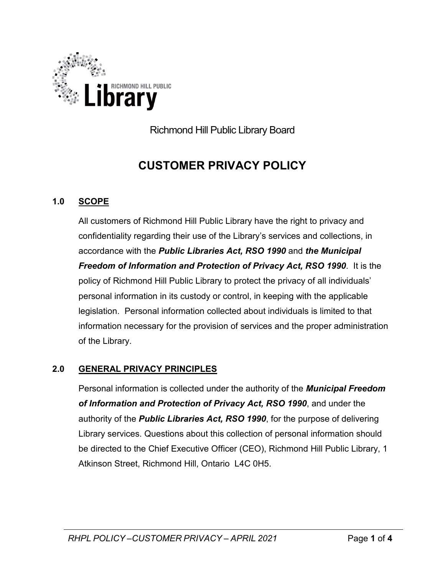

Richmond Hill Public Library Board

# **CUSTOMER PRIVACY POLICY**

## **1.0 SCOPE**

All customers of Richmond Hill Public Library have the right to privacy and confidentiality regarding their use of the Library's services and collections, in accordance with the *Public Libraries Act, RSO 1990* and *the Municipal Freedom of Information and Protection of Privacy Act, RSO 1990*. It is the policy of Richmond Hill Public Library to protect the privacy of all individuals' personal information in its custody or control, in keeping with the applicable legislation. Personal information collected about individuals is limited to that information necessary for the provision of services and the proper administration of the Library.

## **2.0 GENERAL PRIVACY PRINCIPLES**

Personal information is collected under the authority of the *Municipal Freedom of Information and Protection of Privacy Act, RSO 1990*, and under the authority of the *Public Libraries Act, RSO 1990*, for the purpose of delivering Library services. Questions about this collection of personal information should be directed to the Chief Executive Officer (CEO), Richmond Hill Public Library, 1 Atkinson Street, Richmond Hill, Ontario L4C 0H5.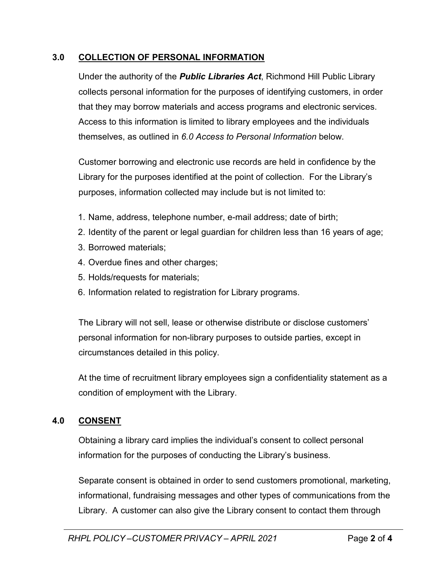#### **3.0 COLLECTION OF PERSONAL INFORMATION**

Under the authority of the *Public Libraries Act*, Richmond Hill Public Library collects personal information for the purposes of identifying customers, in order that they may borrow materials and access programs and electronic services. Access to this information is limited to library employees and the individuals themselves, as outlined in *6.0 Access to Personal Information* below.

Customer borrowing and electronic use records are held in confidence by the Library for the purposes identified at the point of collection. For the Library's purposes, information collected may include but is not limited to:

- 1. Name, address, telephone number, e-mail address; date of birth;
- 2. Identity of the parent or legal guardian for children less than 16 years of age;
- 3. Borrowed materials;
- 4. Overdue fines and other charges;
- 5. Holds/requests for materials;
- 6. Information related to registration for Library programs.

The Library will not sell, lease or otherwise distribute or disclose customers' personal information for non-library purposes to outside parties, except in circumstances detailed in this policy.

At the time of recruitment library employees sign a confidentiality statement as a condition of employment with the Library.

#### **4.0 CONSENT**

Obtaining a library card implies the individual's consent to collect personal information for the purposes of conducting the Library's business.

Separate consent is obtained in order to send customers promotional, marketing, informational, fundraising messages and other types of communications from the Library. A customer can also give the Library consent to contact them through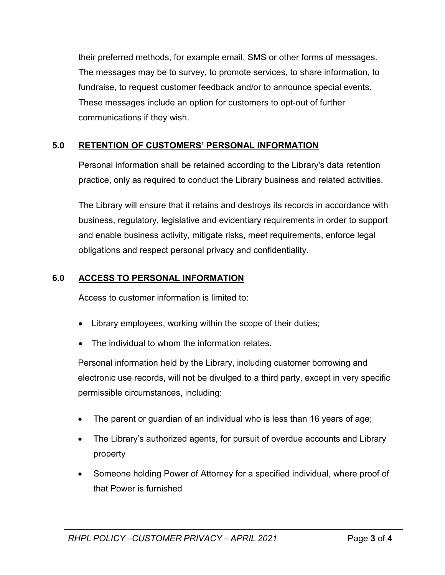their preferred methods, for example email, SMS or other forms of messages. The messages may be to survey, to promote services, to share information, to fundraise, to request customer feedback and/or to announce special events. These messages include an option for customers to opt-out of further communications if they wish.

# **5.0 RETENTION OF CUSTOMERS' PERSONAL INFORMATION**

Personal information shall be retained according to the Library's data retention practice, only as required to conduct the Library business and related activities.

The Library will ensure that it retains and destroys its records in accordance with business, regulatory, legislative and evidentiary requirements in order to support and enable business activity, mitigate risks, meet requirements, enforce legal obligations and respect personal privacy and confidentiality.

# **6.0 ACCESS TO PERSONAL INFORMATION**

Access to customer information is limited to:

- Library employees, working within the scope of their duties;
- The individual to whom the information relates.

Personal information held by the Library, including customer borrowing and electronic use records, will not be divulged to a third party, except in very specific permissible circumstances, including:

- The parent or guardian of an individual who is less than 16 years of age;
- The Library's authorized agents, for pursuit of overdue accounts and Library property
- Someone holding Power of Attorney for a specified individual, where proof of that Power is furnished